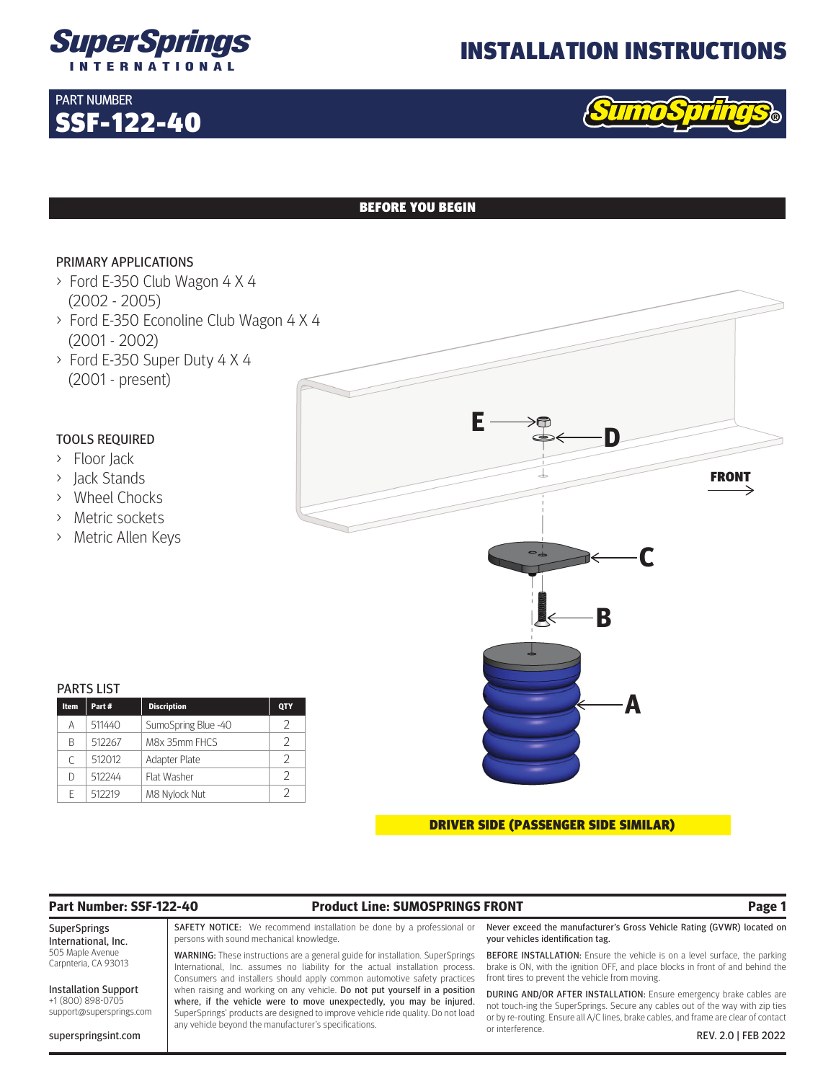

## INSTALLATION INSTRUCTIONS



## BEFORE YOU BEGIN

## PRIMARY APPLICATIONS

SSF-122-40

PART NUMBER

- > Ford E-350 Club Wagon 4 X 4 (2002 - 2005)
- > Ford E-350 Econoline Club Wagon 4 X 4 (2001 - 2002)
- > Ford E-350 Super Duty 4 X 4 (2001 - present)

## TOOLS REQUIRED

- > Floor Jack
- > Jack Stands
- > Wheel Chocks
- > Metric sockets
- > Metric Allen Keys

## PARTS LIST

| <b>Item</b> | Part#  | <b>Discription</b>  | QTY |
|-------------|--------|---------------------|-----|
| А           | 511440 | SumoSpring Blue -40 | V   |
| B           | 512267 | M8x 35mm FHCS       | V   |
| C           | 512012 | Adapter Plate       | V   |
| D           | 512244 | Flat Washer         | V   |
| F           | 512219 | M8 Nylock Nut       |     |

### DRIVER SIDE (PASSENGER SIDE SIMILAR)

## **Part Number: SSF-122-40 Product Line: SUMOSPRINGS FRONT Page 1**

SuperSprings International, Inc. 505 Maple Avenue Carpnteria, CA 93013

Installation Support +1 (800) 898-0705 support@supersprings.com

superspringsint.com

SAFETY NOTICE: We recommend installation be done by a professional or persons with sound mechanical knowledge.

WARNING: These instructions are a general guide for installation. SuperSprings International, Inc. assumes no liability for the actual installation process. Consumers and installers should apply common automotive safety practices when raising and working on any vehicle. Do not put yourself in a position where, if the vehicle were to move unexpectedly, you may be injured. SuperSprings' products are designed to improve vehicle ride quality. Do not load any vehicle beyond the manufacturer's specifications.

Never exceed the manufacturer's Gross Vehicle Rating (GVWR) located on your vehicles identification tag.

BEFORE INSTALLATION: Ensure the vehicle is on a level surface, the parking brake is ON, with the ignition OFF, and place blocks in front of and behind the front tires to prevent the vehicle from moving.

DURING AND/OR AFTER INSTALLATION: Ensure emergency brake cables are not touch-ing the SuperSprings. Secure any cables out of the way with zip ties or by re-routing. Ensure all A/C lines, brake cables, and frame are clear of contact or interference. REV. 2.0 | FEB 2022